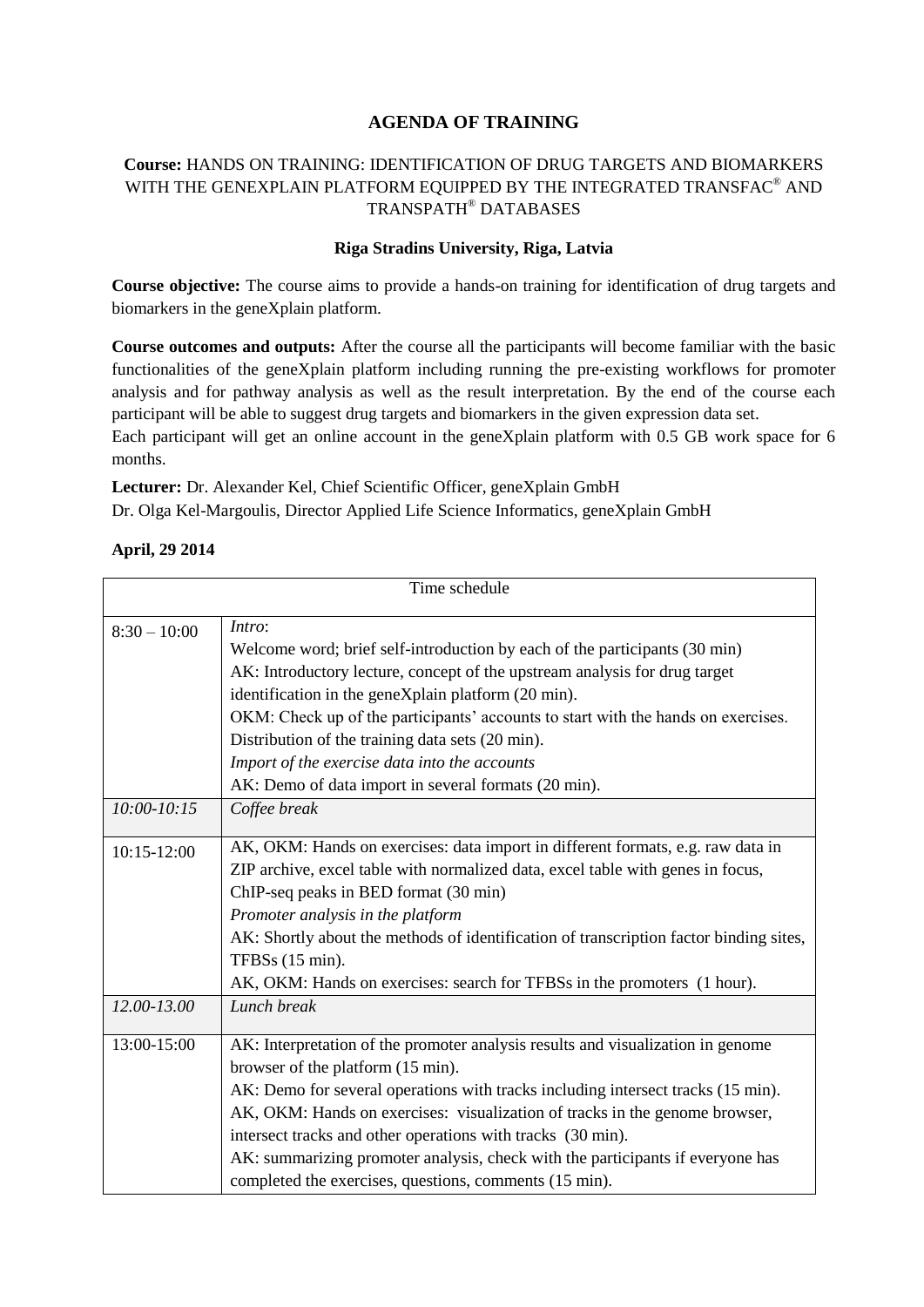## **AGENDA OF TRAINING**

## **Course:** HANDS ON TRAINING: IDENTIFICATION OF DRUG TARGETS AND BIOMARKERS WITH THE GENEXPLAIN PLATFORM EQUIPPED BY THE INTEGRATED TRANSFAC  $^\circledR$  AND TRANSPATH® DATABASES

## **Riga Stradins University, Riga, Latvia**

**Course objective:** The course aims to provide a hands-on training for identification of drug targets and biomarkers in the geneXplain platform.

**Course outcomes and outputs:** After the course all the participants will become familiar with the basic functionalities of the geneXplain platform including running the pre-existing workflows for promoter analysis and for pathway analysis as well as the result interpretation. By the end of the course each participant will be able to suggest drug targets and biomarkers in the given expression data set.

Each participant will get an online account in the geneXplain platform with 0.5 GB work space for 6 months.

**Lecturer:** Dr. Alexander Kel, Chief Scientific Officer, geneXplain GmbH

Dr. Olga Kel-Margoulis, Director Applied Life Science Informatics, geneXplain GmbH

## **April, 29 2014**

| Time schedule   |                                                                                        |
|-----------------|----------------------------------------------------------------------------------------|
| $8:30 - 10:00$  | Intro:                                                                                 |
|                 | Welcome word; brief self-introduction by each of the participants (30 min)             |
|                 | AK: Introductory lecture, concept of the upstream analysis for drug target             |
|                 | identification in the geneXplain platform (20 min).                                    |
|                 | OKM: Check up of the participants' accounts to start with the hands on exercises.      |
|                 | Distribution of the training data sets (20 min).                                       |
|                 | Import of the exercise data into the accounts                                          |
|                 | AK: Demo of data import in several formats (20 min).                                   |
| $10:00 - 10:15$ | Coffee break                                                                           |
| 10:15-12:00     | AK, OKM: Hands on exercises: data import in different formats, e.g. raw data in        |
|                 | ZIP archive, excel table with normalized data, excel table with genes in focus,        |
|                 | ChIP-seq peaks in BED format (30 min)                                                  |
|                 | Promoter analysis in the platform                                                      |
|                 | AK: Shortly about the methods of identification of transcription factor binding sites, |
|                 | TFBSs (15 min).                                                                        |
|                 | AK, OKM: Hands on exercises: search for TFBSs in the promoters (1 hour).               |
| 12.00-13.00     | Lunch break                                                                            |
| 13:00-15:00     | AK: Interpretation of the promoter analysis results and visualization in genome        |
|                 | browser of the platform (15 min).                                                      |
|                 | AK: Demo for several operations with tracks including intersect tracks (15 min).       |
|                 | AK, OKM: Hands on exercises: visualization of tracks in the genome browser,            |
|                 | intersect tracks and other operations with tracks (30 min).                            |
|                 | AK: summarizing promoter analysis, check with the participants if everyone has         |
|                 | completed the exercises, questions, comments (15 min).                                 |